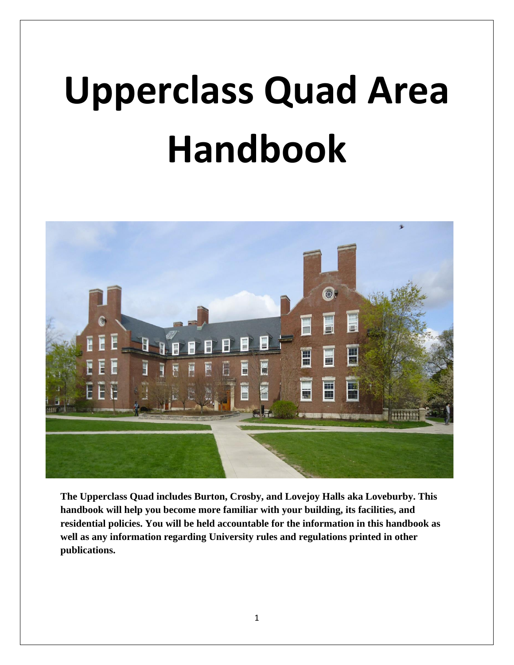# **Upperclass Quad Area Handbook**



**The Upperclass Quad includes Burton, Crosby, and Lovejoy Halls aka Loveburby. This handbook will help you become more familiar with your building, its facilities, and residential policies. You will be held accountable for the information in this handbook as well as any information regarding University rules and regulations printed in other publications.**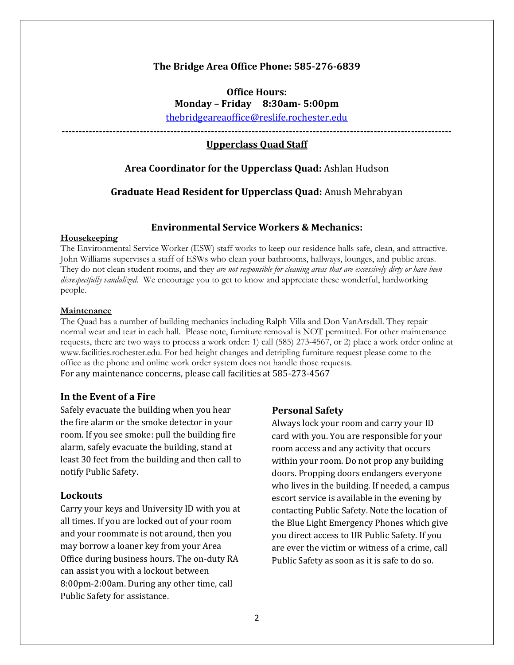## **The Bridge Area Office Phone: 585-276-6839**

**Office Hours: Monday – Friday 8:30am- 5:00pm**

[thebridgeareaoffice@reslife.rochester.edu](mailto:thebridgeareaoffice@reslife.rochester.edu)

**-------------------------------------------------------------------------------------------------------------------**

# **Upperclass Quad Staff**

## **Area Coordinator for the Upperclass Quad:** Ashlan Hudson

#### **Graduate Head Resident for Upperclass Quad:** Anush Mehrabyan

## **Environmental Service Workers & Mechanics:**

#### **Housekeeping**

The Environmental Service Worker (ESW) staff works to keep our residence halls safe, clean, and attractive. John Williams supervises a staff of ESWs who clean your bathrooms, hallways, lounges, and public areas. They do not clean student rooms, and they *are not responsible for cleaning areas that are excessively dirty or have been disrespectfully vandalized.* We encourage you to get to know and appreciate these wonderful, hardworking people.

#### **Maintenance**

The Quad has a number of building mechanics including Ralph Villa and Don VanArsdall. They repair normal wear and tear in each hall. Please note, furniture removal is NOT permitted. For other maintenance requests, there are two ways to process a work order: 1) call (585) 273-4567, or 2) place a work order online at www.facilities.rochester.edu. For bed height changes and detripling furniture request please come to the office as the phone and online work order system does not handle those requests. For any maintenance concerns, please call facilities at 585-273-4567

## **In the Event of a Fire**

Safely evacuate the building when you hear the fire alarm or the smoke detector in your room. If you see smoke: pull the building fire alarm, safely evacuate the building, stand at least 30 feet from the building and then call to notify Public Safety.

#### **Lockouts**

Carry your keys and University ID with you at all times. If you are locked out of your room and your roommate is not around, then you may borrow a loaner key from your Area Office during business hours. The on-duty RA can assist you with a lockout between 8:00pm-2:00am. During any other time, call Public Safety for assistance.

#### **Personal Safety**

Always lock your room and carry your ID card with you. You are responsible for your room access and any activity that occurs within your room. Do not prop any building doors. Propping doors endangers everyone who lives in the building. If needed, a campus escort service is available in the evening by contacting Public Safety. Note the location of the Blue Light Emergency Phones which give you direct access to UR Public Safety. If you are ever the victim or witness of a crime, call Public Safety as soon as it is safe to do so.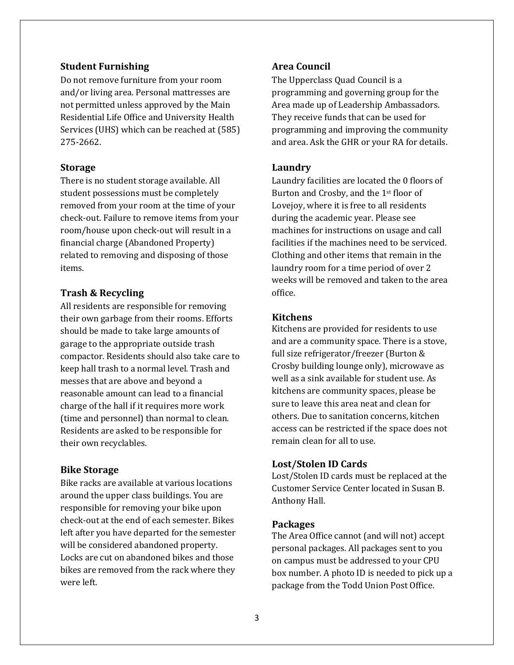## **Student Furnishing**

Do not remove furniture from your room and/or living area. Personal mattresses are not permitted unless approved by the Main Residential Life Office and University Health Services (UHS) which can be reached at (585) 275-2662.

## **Storage**

There is no student storage available. All student possessions must be completely removed from your room at the time of your check-out. Failure to remove items from your room/house upon check-out will result in a financial charge (Abandoned Property) related to removing and disposing of those items.

# **Trash & Recycling**

All residents are responsible for removing their own garbage from their rooms. Efforts should be made to take large amounts of garage to the appropriate outside trash compactor. Residents should also take care to keep hall trash to a normal level. Trash and messes that are above and beyond a reasonable amount can lead to a financial charge of the hall if it requires more work (time and personnel) than normal to clean. Residents are asked to be responsible for their own recyclables.

## **Bike Storage**

Bike racks are available at various locations around the upper class buildings. You are responsible for removing your bike upon check-out at the end of each semester. Bikes left after you have departed for the semester will be considered abandoned property. Locks are cut on abandoned bikes and those bikes are removed from the rack where they were left.

# **Area Council**

The Upperclass Quad Council is a programming and governing group for the Area made up of Leadership Ambassadors. They receive funds that can be used for programming and improving the community and area. Ask the GHR or your RA for details.

## **Laundry**

Laundry facilities are located the 0 floors of Burton and Crosby, and the 1st floor of Lovejoy, where it is free to all residents during the academic year. Please see machines for instructions on usage and call facilities if the machines need to be serviced. Clothing and other items that remain in the laundry room for a time period of over 2 weeks will be removed and taken to the area office.

## **Kitchens**

Kitchens are provided for residents to use and are a community space. There is a stove, full size refrigerator/freezer (Burton & Crosby building lounge only), microwave as well as a sink available for student use. As kitchens are community spaces, please be sure to leave this area neat and clean for others. Due to sanitation concerns, kitchen access can be restricted if the space does not remain clean for all to use.

#### **Lost/Stolen ID Cards**

Lost/Stolen ID cards must be replaced at the Customer Service Center located in Susan B. Anthony Hall.

## **Packages**

The Area Office cannot (and will not) accept personal packages. All packages sent to you on campus must be addressed to your CPU box number. A photo ID is needed to pick up a package from the Todd Union Post Office.